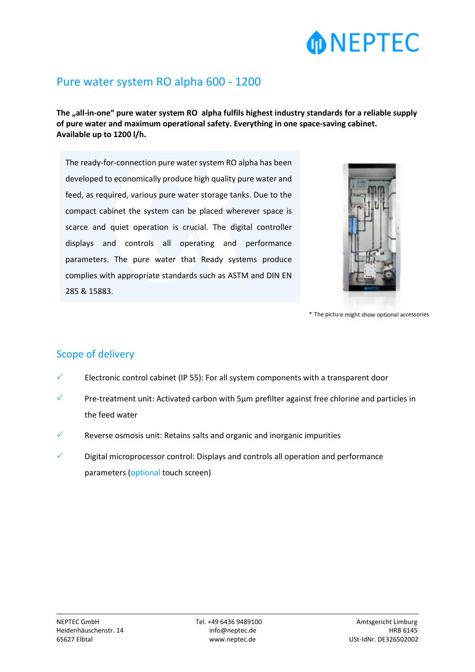# **MONEPTEC**

### Pure water system RO alpha 600 - 1200

The "all-in-one" pure water system RO alpha fulfils highest industry standards for a reliable supply **of pure water and maximum operational safety. Everything in one space-saving cabinet. Available up to 1200 l/h.** 

The ready-for-connection pure water system RO alpha has been developed to economically produce high quality pure water and feed, as required, various pure water storage tanks. Due to the compact cabinet the system can be placed wherever space is scarce and quiet operation is crucial. The digital controller displays and controls all operating and performance parameters. The pure water that Ready systems produce complies with appropriate standards such as ASTM and DIN EN 285 & 15883.



\* The picture might show optional accessories

### Scope of delivery

- Electronic control cabinet (IP 55): For all system components with a transparent door
- Pre-treatment unit: Activated carbon with 5µm prefilter against free chlorine and particles in the feed water
- Reverse osmosis unit: Retains salts and organic and inorganic impurities
- Digital microprocessor control: Displays and controls all operation and performance parameters (optional touch screen)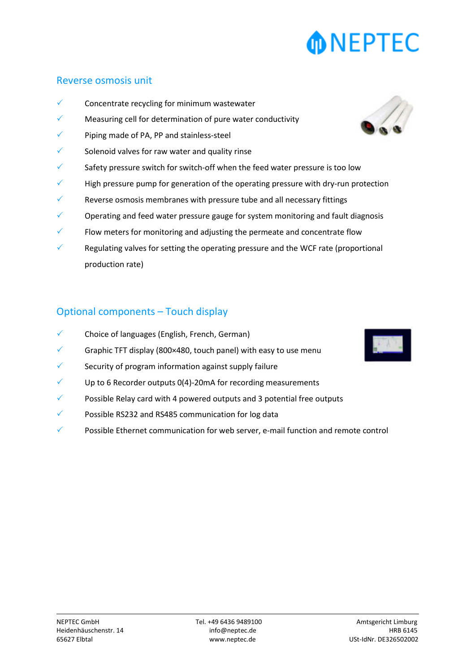# **NEPTEC**

#### Reverse osmosis unit

- Concentrate recycling for minimum wastewater
- Measuring cell for determination of pure water conductivity
- Piping made of PA, PP and stainless-steel
- Solenoid valves for raw water and quality rinse
- Safety pressure switch for switch-off when the feed water pressure is too low
- High pressure pump for generation of the operating pressure with dry-run protection
- Reverse osmosis membranes with pressure tube and all necessary fittings
- Operating and feed water pressure gauge for system monitoring and fault diagnosis
- Flow meters for monitoring and adjusting the permeate and concentrate flow
- Regulating valves for setting the operating pressure and the WCF rate (proportional production rate)

#### Optional components – Touch display

- Choice of languages (English, French, German)
- Graphic TFT display (800×480, touch panel) with easy to use menu
- Security of program information against supply failure
- Up to 6 Recorder outputs 0(4)-20mA for recording measurements
- Possible Relay card with 4 powered outputs and 3 potential free outputs
- Possible RS232 and RS485 communication for log data
- Possible Ethernet communication for web server, e-mail function and remote control



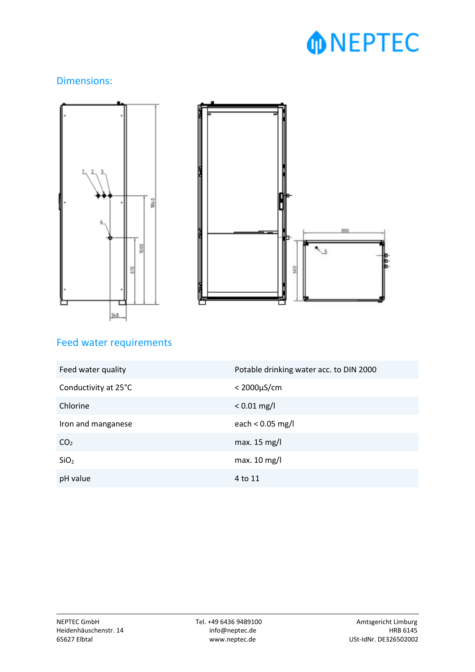# **MDNEPTEC**

### Dimensions:





## Feed water requirements

| Feed water quality   | Potable drinking water acc. to DIN 2000 |
|----------------------|-----------------------------------------|
| Conductivity at 25°C | $<$ 2000 $\mu$ S/cm                     |
| Chlorine             | $< 0.01$ mg/l                           |
| Iron and manganese   | each < $0.05$ mg/l                      |
| CO <sub>2</sub>      | max. $15 \text{ mg/l}$                  |
| SiO <sub>2</sub>     | max. $10$ mg/l                          |
| pH value             | 4 to 11                                 |